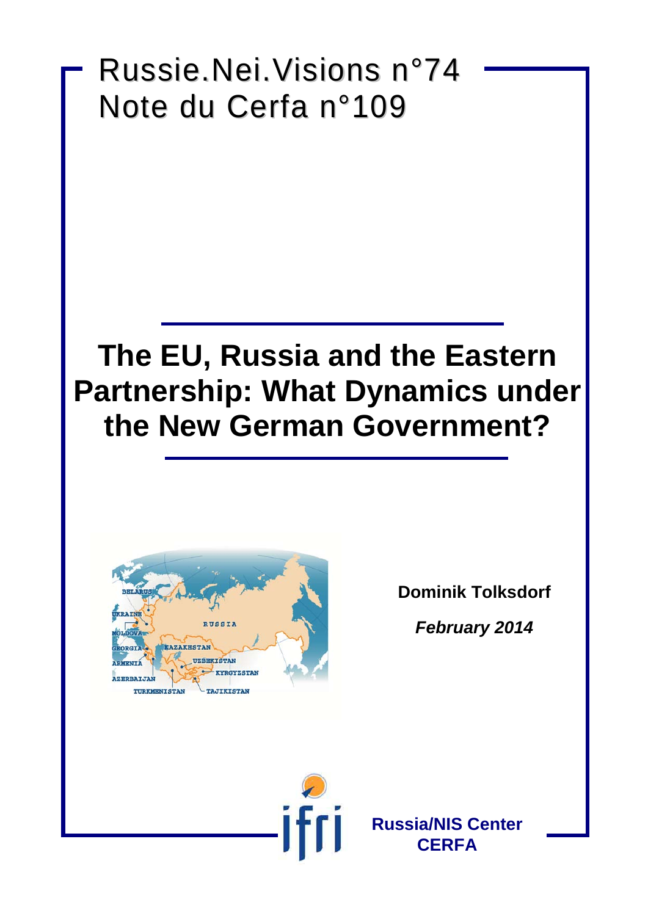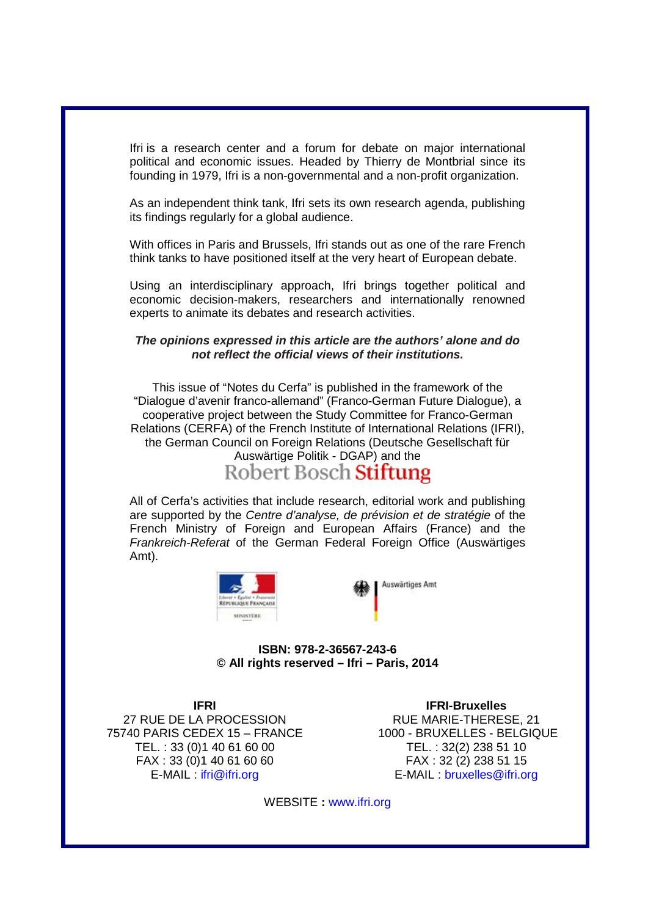Ifri is a research center and a forum for debate on major international political and economic issues. Headed by Thierry de Montbrial since its founding in 1979, Ifri is a non-governmental and a non-profit organization.

As an independent think tank, Ifri sets its own research agenda, publishing its findings regularly for a global audience.

With offices in Paris and Brussels, Ifri stands out as one of the rare French think tanks to have positioned itself at the very heart of European debate.

Using an interdisciplinary approach, Ifri brings together political and economic decision-makers, researchers and internationally renowned experts to animate its debates and research activities.

#### *The opinions expressed in this article are the authors' alone and do not reflect the official views of their institutions.*

This issue of "Notes du Cerfa" is published in the framework of the "Dialogue d'avenir franco-allemand" (Franco-German Future Dialogue), a cooperative project between the Study Committee for Franco-German Relations (CERFA) of the French Institute of International Relations (IFRI), the German Council on Foreign Relations (Deutsche Gesellschaft für Auswärtige Politik - DGAP) and the<br>Robert Bosch Stiftung

All of Cerfa's activities that include research, editorial work and publishing are supported by the *Centre d'analyse, de prévision et de stratégie* of the French Ministry of Foreign and European Affairs (France) and the *Frankreich-Referat* of the German Federal Foreign Office (Auswärtiges Amt).





**ISBN: 978-2-36567-243-6 © All rights reserved – Ifri – Paris, 2014**

**IFRI**  27 RUE DE LA PROCESSION 75740 PARIS CEDEX 15 – FRANCE TEL. : 33 (0)1 40 61 60 00 FAX : 33 (0)1 40 61 60 60 E-MAIL : ifri@ifri.org

**IFRI-Bruxelles** RUE MARIE-THERESE, 21 1000 - BRUXELLES - BELGIQUE TEL. : 32(2) 238 51 10 FAX : 32 (2) 238 51 15 E-MAIL : [bruxelles@ifri.org](mailto:bruxelles@ifri.org)

WEBSITE **:** www.ifri.org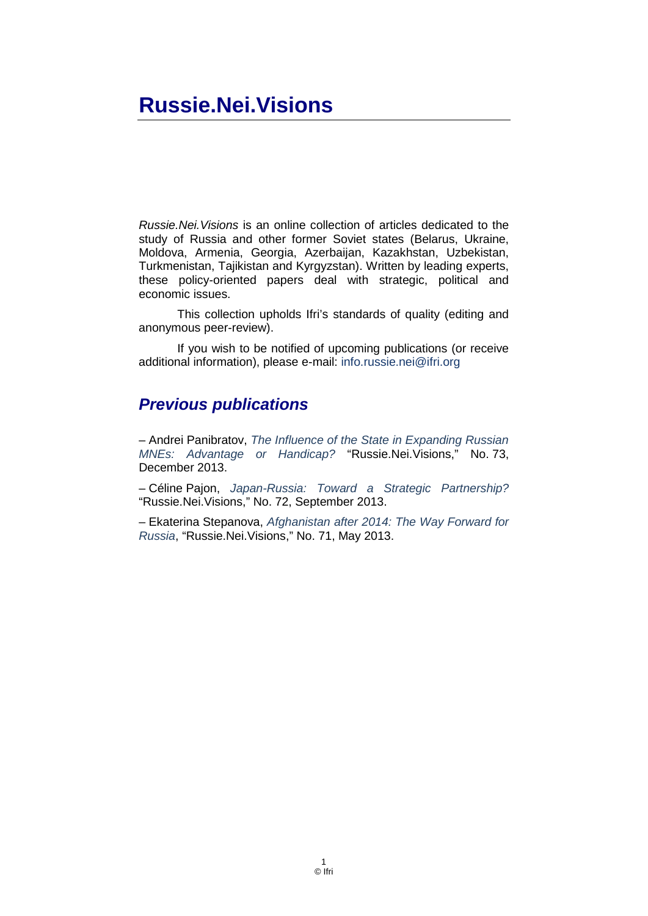# **Russie.Nei.Visions**

*Russie.Nei.Visions* is an online collection of articles dedicated to the study of Russia and other former Soviet states (Belarus, Ukraine, Moldova, Armenia, Georgia, Azerbaijan, Kazakhstan, Uzbekistan, Turkmenistan, Tajikistan and Kyrgyzstan). Written by leading experts, these policy-oriented papers deal with strategic, political and economic issues.

This collection upholds Ifri's standards of quality (editing and anonymous peer-review).

If you wish to be notified of upcoming publications (or receive additional information), please e-mail: info.russie.nei@ifri.org

#### *Previous publications*

– Andrei Panibratov, *The Influence of the State in Expanding Russian MNEs: Advantage or Handicap?* "Russie.Nei.Visions," No. 73, December 2013.

– Céline Pajon, *[Japan-Russia: Toward a Strategic Partnership?](http://www.ifri.org/?page=contribution-detail&id=7808&id_provenance=97)* "Russie.Nei.Visions," No. 72, September 2013.

– Ekaterina Stepanova, *Afghanistan [after 2014: The Way Forward for](http://www.ifri.org/?page=contribution-detail&id=7670&id_provenance=97)  [Russia](http://www.ifri.org/?page=contribution-detail&id=7670&id_provenance=97)*, "Russie.Nei.Visions," No. 71, May 2013.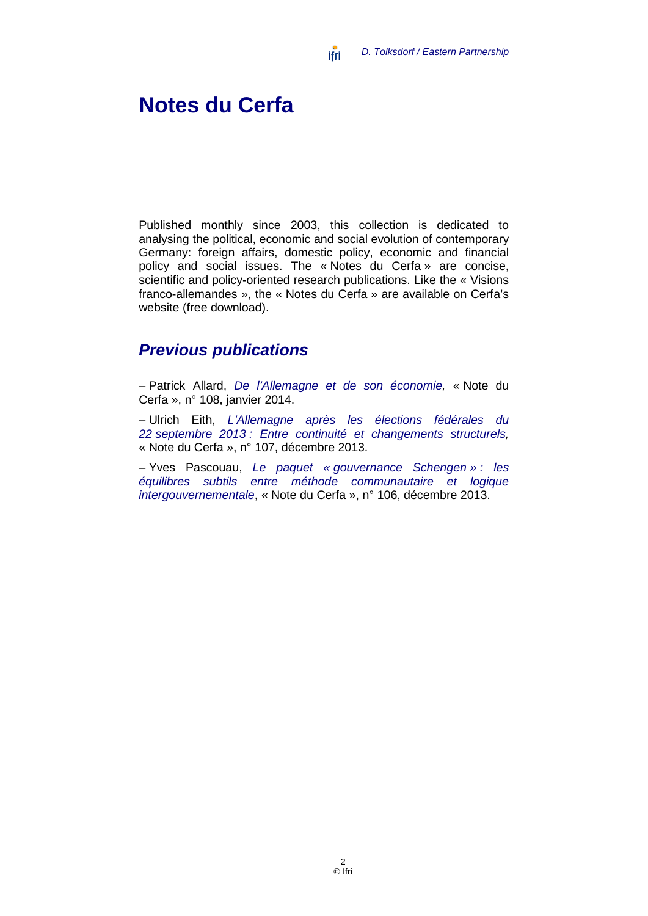#### **Notes du Cerfa**

Published monthly since 2003, this collection is dedicated to analysing the political, economic and social evolution of contemporary Germany: foreign affairs, domestic policy, economic and financial policy and social issues. The « Notes du Cerfa » are concise, scientific and policy-oriented research publications. Like the « Visions franco-allemandes », the « Notes du Cerfa » are available on Cerfa's website (free download).

#### *Previous publications*

– Patrick Allard, *[De l'Allemagne et de son économie,](http://www.ifri.org/?page=detail-contribution&id=7987)* « Note du Cerfa », n° 108, janvier 2014.

– Ulrich Eith, *[L'Allemagne après les élections fédérales du](http://www.ifri.org/?page=detail-contribution&id=7944)  22 septembre 2013 [: Entre continuité et changements structurels,](http://www.ifri.org/?page=detail-contribution&id=7944)*  « Note du Cerfa », n° 107, décembre 2013.

– Yves Pascouau, *Le paquet « [gouvernance Schengen](http://www.ifri.org/?page=detail-contribution&id=7934) » : les [équilibres subtils entre méthode communautaire et logique](http://www.ifri.org/?page=detail-contribution&id=7934)  [intergouvernementale](http://www.ifri.org/?page=detail-contribution&id=7934)*, « Note du Cerfa », n° 106, décembre 2013.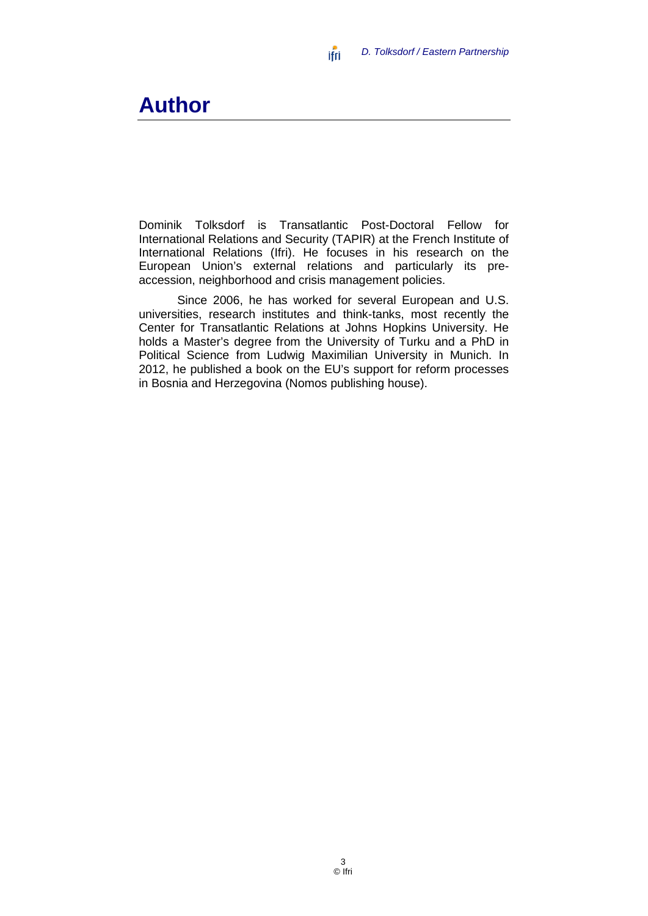#### ifri  *D. Tolksdorf / Eastern Partnership*

## **Author**

Dominik Tolksdorf is Transatlantic Post-Doctoral Fellow for International Relations and Security (TAPIR) at the French Institute of International Relations (Ifri). He focuses in his research on the European Union's external relations and particularly its preaccession, neighborhood and crisis management policies.

Since 2006, he has worked for several European and U.S. universities, research institutes and think-tanks, most recently the Center for Transatlantic Relations at Johns Hopkins University. He holds a Master's degree from the University of Turku and a PhD in Political Science from Ludwig Maximilian University in Munich. In 2012, he published a book on the EU's support for reform processes in Bosnia and Herzegovina (Nomos publishing house).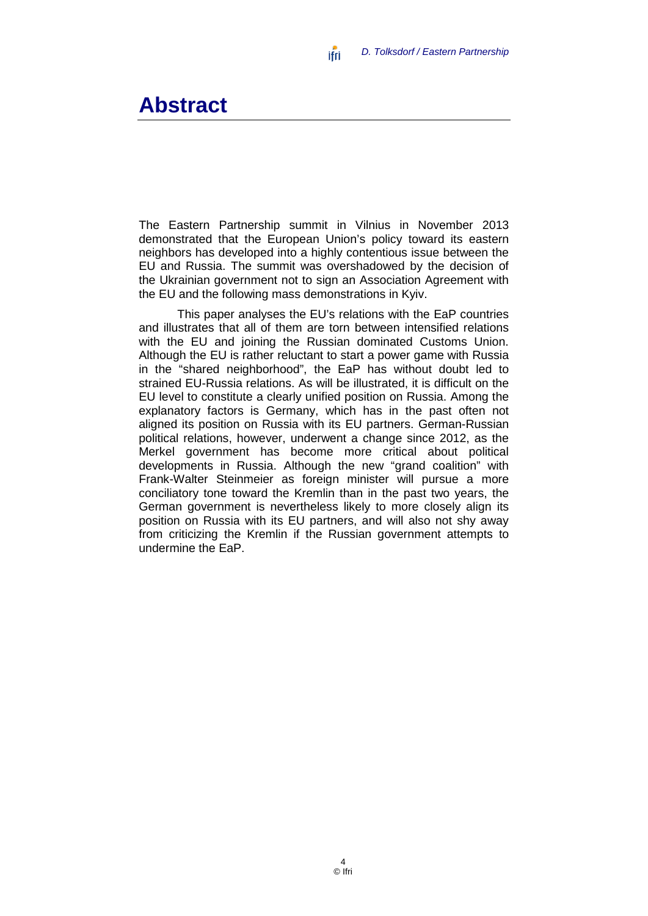#### **Abstract**

The Eastern Partnership summit in Vilnius in November 2013 demonstrated that the European Union's policy toward its eastern neighbors has developed into a highly contentious issue between the EU and Russia. The summit was overshadowed by the decision of the Ukrainian government not to sign an Association Agreement with the EU and the following mass demonstrations in Kyiv.

ifri

This paper analyses the EU's relations with the EaP countries and illustrates that all of them are torn between intensified relations with the EU and joining the Russian dominated Customs Union. Although the EU is rather reluctant to start a power game with Russia in the "shared neighborhood", the EaP has without doubt led to strained EU-Russia relations. As will be illustrated, it is difficult on the EU level to constitute a clearly unified position on Russia. Among the explanatory factors is Germany, which has in the past often not aligned its position on Russia with its EU partners. German-Russian political relations, however, underwent a change since 2012, as the Merkel government has become more critical about political developments in Russia. Although the new "grand coalition" with Frank-Walter Steinmeier as foreign minister will pursue a more conciliatory tone toward the Kremlin than in the past two years, the German government is nevertheless likely to more closely align its position on Russia with its EU partners, and will also not shy away from criticizing the Kremlin if the Russian government attempts to undermine the EaP.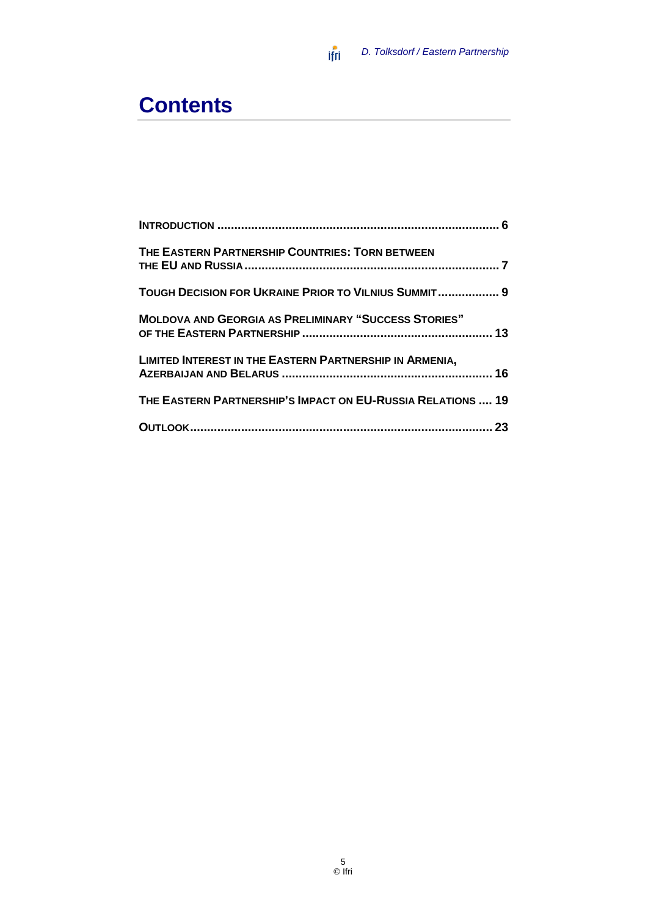#### *D. Tolksdorf / Eastern Partnership*

# **Contents**

| THE EASTERN PARTNERSHIP COUNTRIES: TORN BETWEEN                |  |
|----------------------------------------------------------------|--|
| TOUGH DECISION FOR UKRAINE PRIOR TO VILNIUS SUMMIT 9           |  |
| <b>MOLDOVA AND GEORGIA AS PRELIMINARY "SUCCESS STORIES"</b>    |  |
| <b>LIMITED INTEREST IN THE EASTERN PARTNERSHIP IN ARMENIA,</b> |  |
| THE EASTERN PARTNERSHIP'S IMPACT ON EU-RUSSIA RELATIONS  19    |  |
|                                                                |  |

 $\mathsf{if} \mathsf{f}$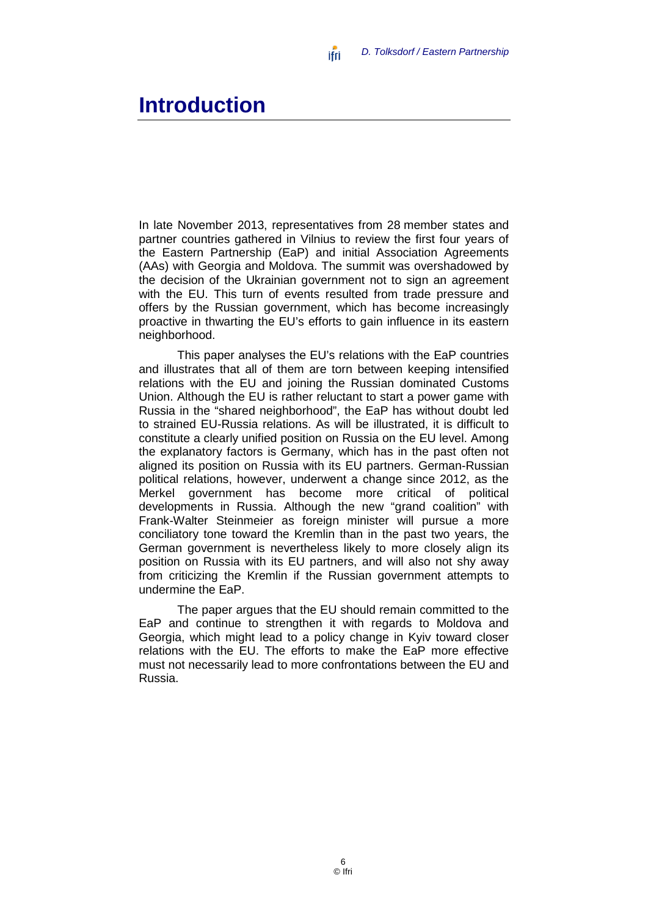#### <span id="page-7-0"></span>**Introduction**

In late November 2013, representatives from 28 member states and partner countries gathered in Vilnius to review the first four years of the Eastern Partnership (EaP) and initial Association Agreements (AAs) with Georgia and Moldova. The summit was overshadowed by the decision of the Ukrainian government not to sign an agreement with the EU. This turn of events resulted from trade pressure and offers by the Russian government, which has become increasingly proactive in thwarting the EU's efforts to gain influence in its eastern neighborhood.

ifri

This paper analyses the EU's relations with the EaP countries and illustrates that all of them are torn between keeping intensified relations with the EU and joining the Russian dominated Customs Union. Although the EU is rather reluctant to start a power game with Russia in the "shared neighborhood", the EaP has without doubt led to strained EU-Russia relations. As will be illustrated, it is difficult to constitute a clearly unified position on Russia on the EU level. Among the explanatory factors is Germany, which has in the past often not aligned its position on Russia with its EU partners. German-Russian political relations, however, underwent a change since 2012, as the Merkel government has become more critical of political developments in Russia. Although the new "grand coalition" with Frank-Walter Steinmeier as foreign minister will pursue a more conciliatory tone toward the Kremlin than in the past two years, the German government is nevertheless likely to more closely align its position on Russia with its EU partners, and will also not shy away from criticizing the Kremlin if the Russian government attempts to undermine the EaP.

The paper argues that the EU should remain committed to the EaP and continue to strengthen it with regards to Moldova and Georgia, which might lead to a policy change in Kyiv toward closer relations with the EU. The efforts to make the EaP more effective must not necessarily lead to more confrontations between the EU and Russia.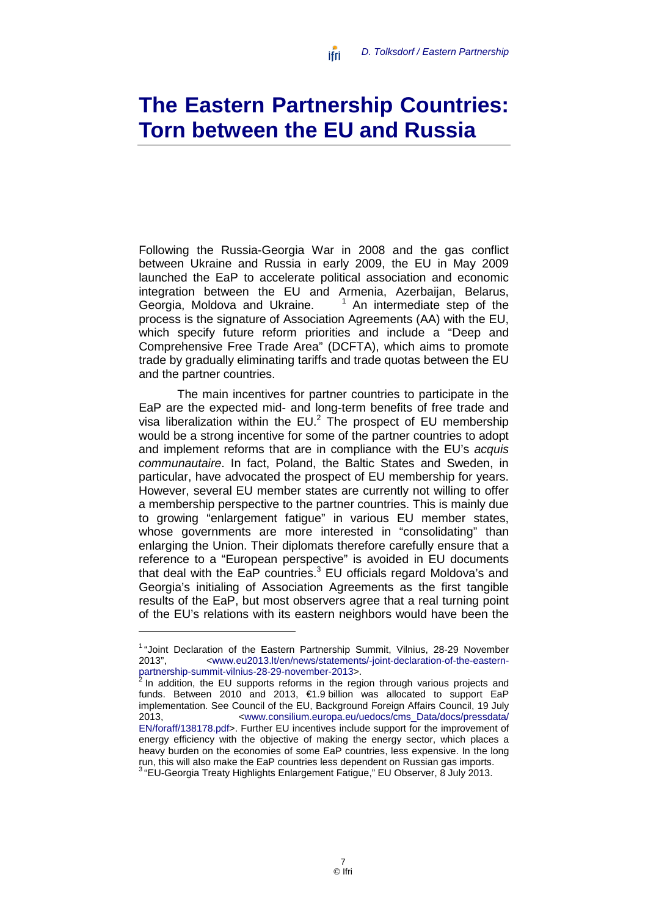# <span id="page-8-0"></span>**The Eastern Partnership Countries: Torn between the EU and Russia**

ifri

Following the Russia-Georgia War in 2008 and the gas conflict between Ukraine and Russia in early 2009, the EU in May 2009 launched the EaP to accelerate political association and economic integration between the EU and Armenia, Azerbaijan, Belarus, Georgia, Moldova and Ukraine. [1](#page-23-0)  $1$  An intermediate step of the process is the signature of Association Agreements (AA) with the EU, which specify future reform priorities and include a "Deep and Comprehensive Free Trade Area" (DCFTA), which aims to promote trade by gradually eliminating tariffs and trade quotas between the EU and the partner countries.

The main incentives for partner countries to participate in the EaP are the expected mid- and long-term benefits of free trade and visa liberalization within the  $EU^2$  The prospect of EU membership would be a strong incentive for some of the partner countries to adopt and implement reforms that are in compliance with the EU's *acquis communautaire*. In fact, Poland, the Baltic States and Sweden, in particular, have advocated the prospect of EU membership for years. However, several EU member states are currently not willing to offer a membership perspective to the partner countries. This is mainly due to growing "enlargement fatigue" in various EU member states, whose governments are more interested in "consolidating" than enlarging the Union. Their diplomats therefore carefully ensure that a reference to a "European perspective" is avoided in EU documents that deal with the EaP countries.<sup>3</sup> EU officials regard Moldova's and Georgia's initialing of Association Agreements as the first tangible results of the EaP, but most observers agree that a real turning point of the EU's relations with its eastern neighbors would have been the

<sup>&</sup>lt;sup>1</sup> "Joint Declaration of the Eastern Partnership Summit, Vilnius, 28-29 November 2013", <www.eu2013.lt/en/news/statements/-joint-declaration-of-the-eastern-2013", <www.eu2013.lt/en/news/statements/-joint-declaration-of-the-eastern-<br>partnership-summit-vilnius-28-29-november-2013>.

In addition, the EU supports reforms in the region through various projects and funds. Between 2010 and 2013, €1.9 billion was allocated to support EaP implementation. See Council of the EU, Background Foreign Affairs Council, 19 July 2013, [<www.consilium.europa.eu/uedocs/cms\\_Data/docs/pressdata/](http://www.consilium.europa.eu/uedocs/cms_Data/docs/pressdata/%20EN/foraff/138178.pdf)  [EN/foraff/138178.pdf>](http://www.consilium.europa.eu/uedocs/cms_Data/docs/pressdata/%20EN/foraff/138178.pdf). Further EU incentives include support for the improvement of energy efficiency with the objective of making the energy sector, which places a heavy burden on the economies of some EaP countries, less expensive. In the long run, this will also make the EaP countries less dependent on Russian gas imports.

 $^3$  "EU-Georgia Treaty Highlights Enlargement Fatigue," EU Observer,  $8$  July 2013.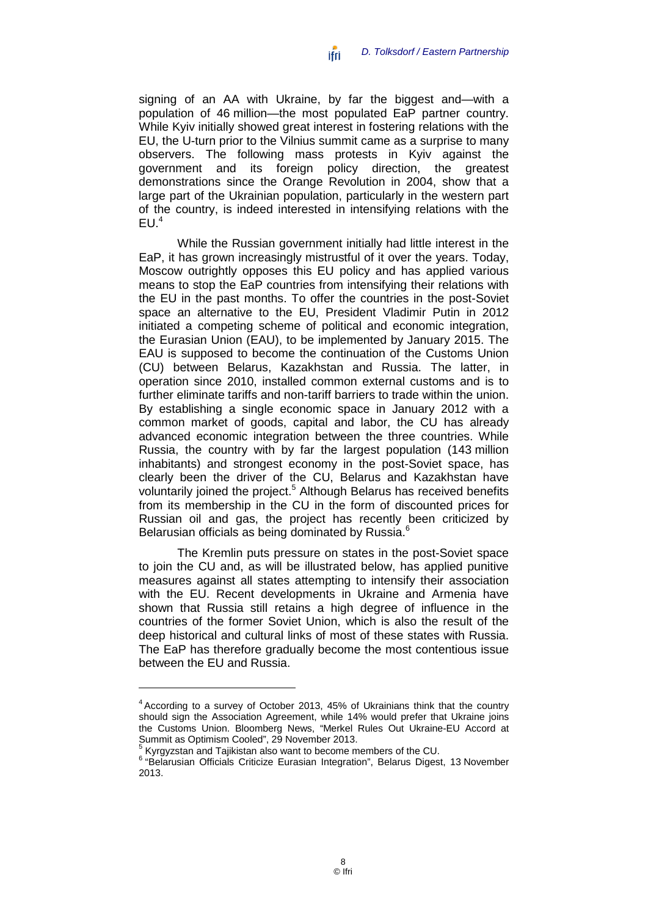*D. Tolksdorf / Eastern Partnership* ifri

signing of an AA with Ukraine, by far the biggest and—with a population of 46 million—the most populated EaP partner country. While Kyiv initially showed great interest in fostering relations with the EU, the U-turn prior to the Vilnius summit came as a surprise to many observers. The following mass protests in Kyiv against the government and its foreign policy direction, the greatest demonstrations since the Orange Revolution in 2004, show that a large part of the Ukrainian population, particularly in the western part of the country, is indeed interested in intensifying relations with the  $FU<sup>4</sup>$ 

While the Russian government initially had little interest in the EaP, it has grown increasingly mistrustful of it over the years. Today, Moscow outrightly opposes this EU policy and has applied various means to stop the EaP countries from intensifying their relations with the EU in the past months. To offer the countries in the post-Soviet space an alternative to the EU, President Vladimir Putin in 2012 initiated a competing scheme of political and economic integration, the Eurasian Union (EAU), to be implemented by January 2015. The EAU is supposed to become the continuation of the Customs Union (CU) between Belarus, Kazakhstan and Russia. The latter, in operation since 2010, installed common external customs and is to further eliminate tariffs and non-tariff barriers to trade within the union. By establishing a single economic space in January 2012 with a common market of goods, capital and labor, the CU has already advanced economic integration between the three countries. While Russia, the country with by far the largest population (143 million inhabitants) and strongest economy in the post-Soviet space, has clearly been the driver of the CU, Belarus and Kazakhstan have voluntarily joined the project.<sup>5</sup> Although Belarus has received benefits from its membership in the CU in the form of discounted prices for Russian oil and gas, the project has recently been criticized by Belarusian officials as being dominated by Russia.<sup>6</sup>

The Kremlin puts pressure on states in the post-Soviet space to join the CU and, as will be illustrated below, has applied punitive measures against all states attempting to intensify their association with the EU. Recent developments in Ukraine and Armenia have shown that Russia still retains a high degree of influence in the countries of the former Soviet Union, which is also the result of the deep historical and cultural links of most of these states with Russia. The EaP has therefore gradually become the most contentious issue between the EU and Russia.

<sup>4</sup> According to a survey of October 2013, 45% of Ukrainians think that the country should sign the Association Agreement, while 14% would prefer that Ukraine joins the Customs Union. Bloomberg News, "Merkel Rules Out Ukraine-EU Accord at Summit as Optimism Cooled", 29 November 2013.

<sup>&</sup>lt;sup>5</sup> Kyrgyzstan and Tajikistan also want to become members of the CU.<br><sup>6 "</sup>Belarusian Officials Criticize Eurasian Integration", Belarus Digest, 13 November 2013.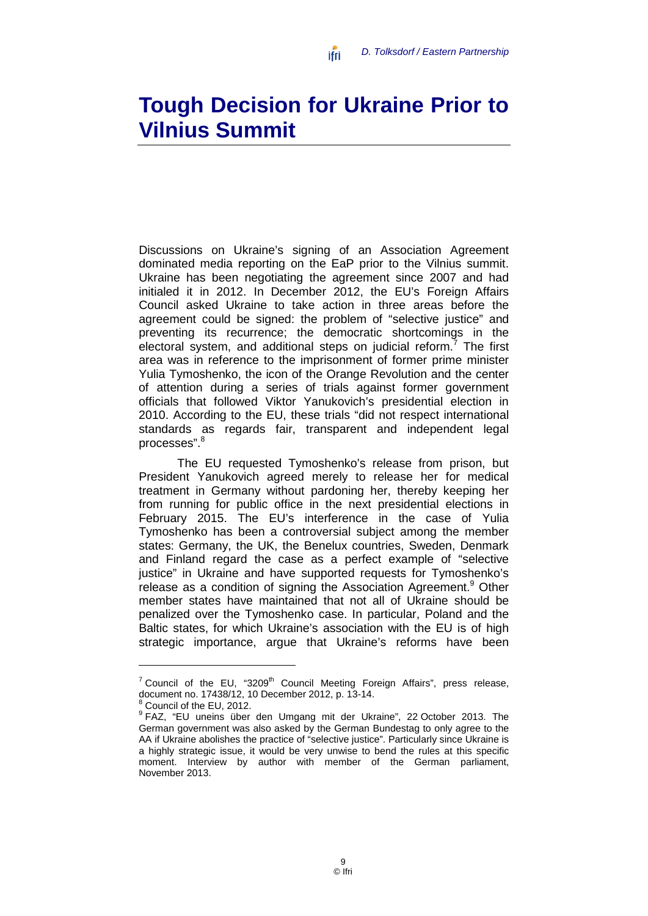## <span id="page-10-0"></span>**Tough Decision for Ukraine Prior to Vilnius Summit**

ifri

Discussions on Ukraine's signing of an Association Agreement dominated media reporting on the EaP prior to the Vilnius summit. Ukraine has been negotiating the agreement since 2007 and had initialed it in 2012. In December 2012, the EU's Foreign Affairs Council asked Ukraine to take action in three areas before the agreement could be signed: the problem of "selective justice" and preventing its recurrence; the democratic shortcomings in the electoral system, and additional steps on judicial reform.<sup>7</sup> The first area was in reference to the imprisonment of former prime minister Yulia Tymoshenko, the icon of the Orange Revolution and the center of attention during a series of trials against former government officials that followed Viktor Yanukovich's presidential election in 2010. According to the EU, these trials "did not respect international standards as regards fair, transparent and independent legal processes". 8

The EU requested Tymoshenko's release from prison, but President Yanukovich agreed merely to release her for medical treatment in Germany without pardoning her, thereby keeping her from running for public office in the next presidential elections in February 2015. The EU's interference in the case of Yulia Tymoshenko has been a controversial subject among the member states: Germany, the UK, the Benelux countries, Sweden, Denmark and Finland regard the case as a perfect example of "selective justice" in Ukraine and have supported requests for Tymoshenko's release as a condition of signing the Association Agreement.<sup>9</sup> Other member states have maintained that not all of Ukraine should be penalized over the Tymoshenko case. In particular, Poland and the Baltic states, for which Ukraine's association with the EU is of high strategic importance, argue that Ukraine's reforms have been

<sup>&</sup>lt;sup>7</sup> Council of the EU, "3209<sup>th</sup> Council Meeting Foreign Affairs", press release, document no. 17438/12, 10 December 2012, p. 13-14.

 $^8$  Council of the EU, 2012.<br> $^9$  FAZ, "EU uneins über den Umgang mit der Ukraine", 22 October 2013. The German government was also asked by the German Bundestag to only agree to the AA if Ukraine abolishes the practice of "selective justice". Particularly since Ukraine is a highly strategic issue, it would be very unwise to bend the rules at this specific moment. Interview by author with member of the German parliament, November 2013.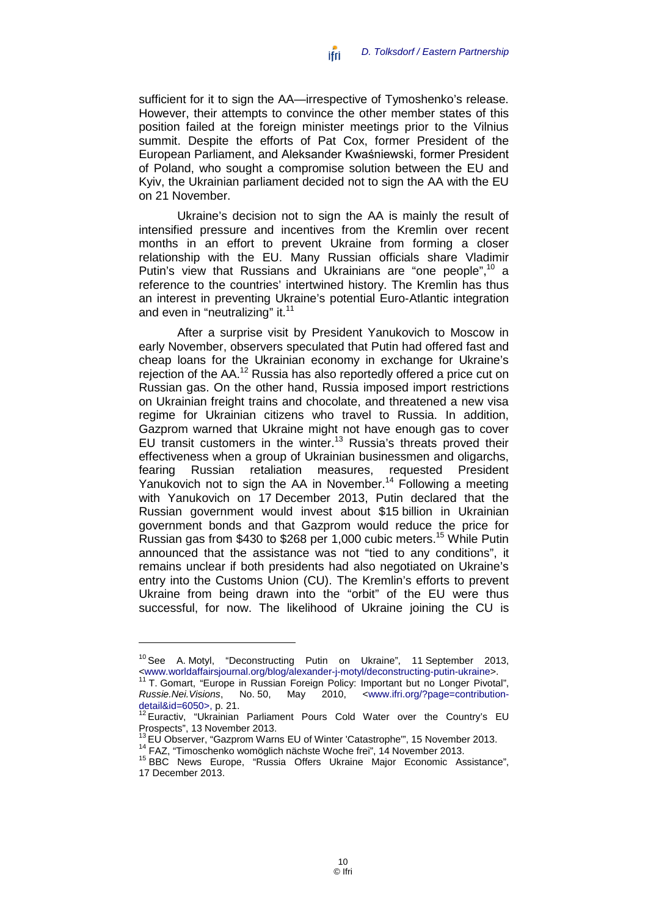*D. Tolksdorf / Eastern Partnership* ifri

sufficient for it to sign the AA—irrespective of Tymoshenko's release. However, their attempts to convince the other member states of this position failed at the foreign minister meetings prior to the Vilnius summit. Despite the efforts of Pat Cox, former President of the European Parliament, and Aleksander Kwaśniewski, former President of Poland, who sought a compromise solution between the EU and Kyiv, the Ukrainian parliament decided not to sign the AA with the EU on 21 November.

Ukraine's decision not to sign the AA is mainly the result of intensified pressure and incentives from the Kremlin over recent months in an effort to prevent Ukraine from forming a closer relationship with the EU. Many Russian officials share Vladimir Putin's view that Russians and Ukrainians are "one people", <sup>10</sup> a reference to the countries' intertwined history. The Kremlin has thus an interest in preventing Ukraine's potential Euro-Atlantic integration and even in "neutralizing" it.<sup>11</sup>

After a surprise visit by President Yanukovich to Moscow in early November, observers speculated that Putin had offered fast and cheap loans for the Ukrainian economy in exchange for Ukraine's rejection of the AA.12 Russia has also reportedly offered a price cut on Russian gas. On the other hand, Russia imposed import restrictions on Ukrainian freight trains and chocolate, and threatened a new visa regime for Ukrainian citizens who travel to Russia. In addition, Gazprom warned that Ukraine might not have enough gas to cover EU transit customers in the winter.<sup>13</sup> Russia's threats proved their effectiveness when a group of Ukrainian businessmen and oligarchs, fearing Russian retaliation measures, requested President Yanukovich not to sign the AA in November.<sup>14</sup> Following a meeting with Yanukovich on 17 December 2013, Putin declared that the Russian government would invest about \$15 billion in Ukrainian government bonds and that Gazprom would reduce the price for Russian gas from \$430 to \$268 per 1,000 cubic meters. <sup>15</sup> While Putin announced that the assistance was not "tied to any conditions", it remains unclear if both presidents had also negotiated on Ukraine's entry into the Customs Union (CU). The Kremlin's efforts to prevent Ukraine from being drawn into the "orbit" of the EU were thus successful, for now. The likelihood of Ukraine joining the CU is

<sup>&</sup>lt;sup>10</sup> See A. [Motyl,](http://www.worldaffairsjournal.org/users/alexander-j-motyl) "Deconstructing Putin on Ukraine", 11 September 2013,

xww.worldaffairsjournal.org/blog/alexander-j-motyl/deconstructing-putin-ukraine>.<br>
<sup>11</sup> T. Gomart, "Europe in Russian Foreign Policy: Important but no Longer Pivotal",<br> *Russie.Nei. Visions*, No. 50, May 2010, <www.ifri.or *Russie.Nei.Visions*, No. 50, May detail&id=6050>, p. 21.

detailed =60605, p. 21.<br>  $\frac{12}{2}$  Euractiv, "Ukrainian Parliament Pours Cold Water over the Country's EU<br>
Prospects", 13 November 2013.

<sup>&</sup>lt;sup>13</sup> EU Observer, "Gazprom Warns EU of Winter 'Catastrophe'", 15 November 2013.<br><sup>14</sup> FAZ, "Timoschenko womöglich nächste Woche frei", 14 November 2013.<br><sup>15</sup> BBC News Europe, "Russia Offers Ukraine Major Economic Assistance 17 December 2013.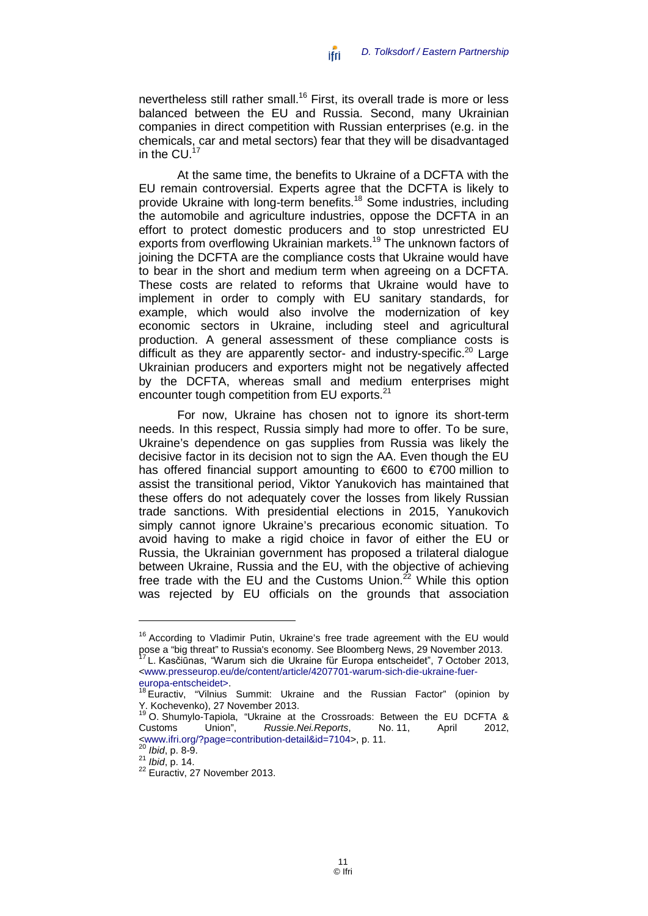nevertheless still rather small. <sup>16</sup> First, its overall trade is more or less balanced between the EU and Russia. Second, many Ukrainian companies in direct competition with Russian enterprises (e.g. in the chemicals, car and metal sectors) fear that they will be disadvantaged in the  $CU.^{17}$ 

At the same time, the benefits to Ukraine of a DCFTA with the EU remain controversial. Experts agree that the DCFTA is likely to provide Ukraine with long-term benefits.18 Some industries, including the automobile and agriculture industries, oppose the DCFTA in an effort to protect domestic producers and to stop unrestricted EU exports from overflowing Ukrainian markets.<sup>19</sup> The unknown factors of joining the DCFTA are the compliance costs that Ukraine would have to bear in the short and medium term when agreeing on a DCFTA. These costs are related to reforms that Ukraine would have to implement in order to comply with EU sanitary standards, for example, which would also involve the modernization of key economic sectors in Ukraine, including steel and agricultural production. A general assessment of these compliance costs is difficult as they are apparently sector- and industry-specific.<sup>20</sup> Large Ukrainian producers and exporters might not be negatively affected by the DCFTA, whereas small and medium enterprises might encounter tough competition from EU exports.<sup>21</sup>

For now, Ukraine has chosen not to ignore its short-term needs. In this respect, Russia simply had more to offer. To be sure, Ukraine's dependence on gas supplies from Russia was likely the decisive factor in its decision not to sign the AA. Even though the EU has offered financial support amounting to €600 to €700 million to assist the transitional period, Viktor Yanukovich has maintained that these offers do not adequately cover the losses from likely Russian trade sanctions. With presidential elections in 2015, Yanukovich simply cannot ignore Ukraine's precarious economic situation. To avoid having to make a rigid choice in favor of either the EU or Russia, the Ukrainian government has proposed a trilateral dialogue between Ukraine, Russia and the EU, with the objective of achieving free trade with the EU and the Customs Union. $^{22}$  While this option was rejected by EU officials on the grounds that association

<sup>&</sup>lt;sup>16</sup> According to Vladimir Putin, Ukraine's free trade agreement with the EU would pose a "big threat" to Russia's economy. See Bloomberg News, 29 November 2013.<br><sup>17</sup> L. Kasčiūnas, "Warum sich die Ukraine für Europa entscheidet", 7 October 2013,

[<sup>&</sup>lt;www.presseurop.eu/de/content/article/4207701-warum-sich-die-ukraine-fuer-](http://www.presseurop.eu/de/content/article/4207701-warum-sich-die-ukraine-fuer-europa-entscheidet)

<sup>&</sup>lt;sup>18</sup> Euractiv, "Vilnius Summit: Ukraine and the Russian Factor" (opinion by<br>Y. Kochevenko). 27 November 2013.

<sup>&</sup>lt;sup>19</sup> O. Shumylo-Tapiola, "Ukraine at the Crossroads: Between the EU DCFTA &<br>Customs Union", Russie.Nei.Reports, No. 11, April 2012, Customs Union", *Russie.Nei.Reports*, No. 11, April 2012, [<www.ifri.org/?page=contribution-detail&id=7104>](http://www.ifri.org/?page=contribution-detail&id=7104), p. 11.<br><sup>20</sup> *Ibid*, p. 8-9.<br><sup>21</sup> *Ibid*, p. 14.<br><sup>22</sup> Euractiv, 27 November 2013.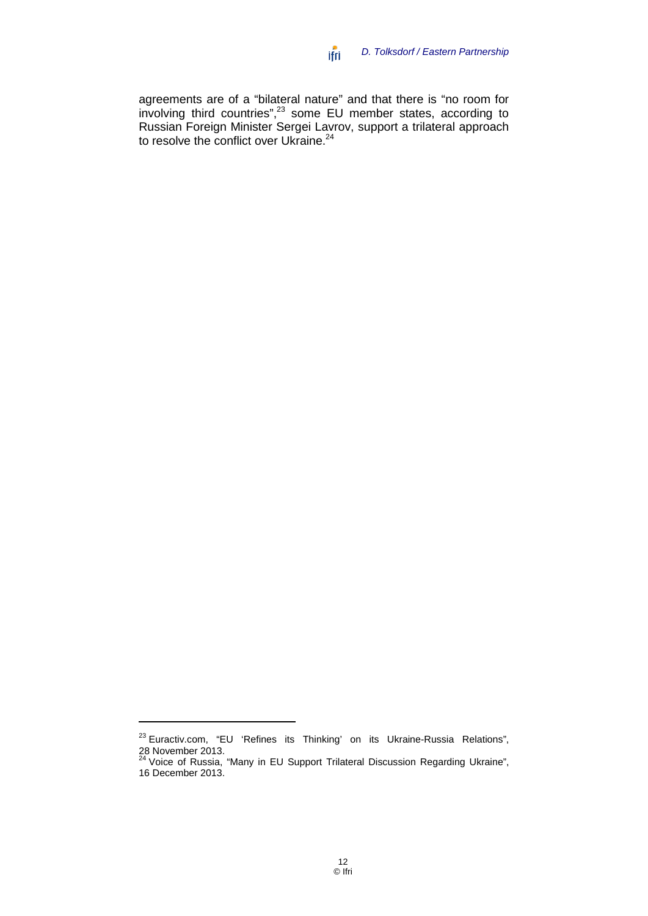agreements are of a "bilateral nature" and that there is "no room for involving third countries",<sup>23</sup> some EU member states, according to Russian Foreign Minister Sergei Lavrov, support a trilateral approach to resolve the conflict over Ukraine.<sup>24</sup>

<sup>&</sup>lt;sup>23</sup> Euractiv.com, "EU 'Refines its Thinking' on its Ukraine-Russia Relations", 28 November 2013.<br><sup>24</sup> Voice of Russia, "Many in EU Support Trilateral Discussion Regarding Ukraine",

<sup>16</sup> December 2013.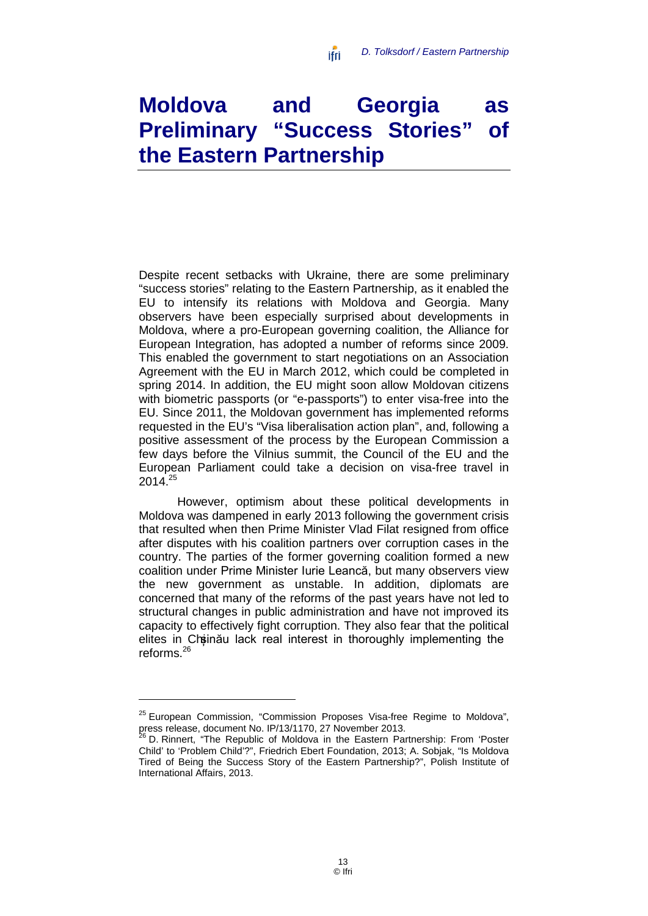# <span id="page-14-0"></span>**Moldova and Georgia as Preliminary "Success Stories" of the Eastern Partnership**

ifri

Despite recent setbacks with Ukraine, there are some preliminary "success stories" relating to the Eastern Partnership, as it enabled the EU to intensify its relations with Moldova and Georgia. Many observers have been especially surprised about developments in Moldova, where a pro-European governing coalition, the Alliance for European Integration, has adopted a number of reforms since 2009. This enabled the government to start negotiations on an Association Agreement with the EU in March 2012, which could be completed in spring 2014. In addition, the EU might soon allow Moldovan citizens with biometric passports (or "e-passports") to enter visa-free into the EU. Since 2011, the Moldovan government has implemented reforms requested in the EU's "Visa liberalisation action plan", and, following a positive assessment of the process by the European Commission a few days before the Vilnius summit, the Council of the EU and the European Parliament could take a decision on visa-free travel in 2014.25

However, optimism about these political developments in Moldova was dampened in early 2013 following the government crisis that resulted when then Prime Minister Vlad Filat resigned from office after disputes with his coalition partners over corruption cases in the country. The parties of the former governing coalition formed a new coalition under Prime Minister Iurie Leancă, but many observers view the new government as unstable. In addition, diplomats are concerned that many of the reforms of the past years have not led to structural changes in public administration and have not improved its capacity to effectively fight corruption. They also fear that the political elites in Chisinău lack real interest in thoroughly implementing the reforms.26

<sup>&</sup>lt;sup>25</sup> European Commission, "Commission Proposes Visa-free Regime to Moldova", press release, document No. IP/13/1170, 27 November 2013.<br><sup>26</sup> D. Rinnert, "The Republic of Moldova in the Eastern Partnership: From 'Poster

Child' to 'Problem Child'?", Friedrich Ebert Foundation, 2013; A. Sobjak, "Is Moldova Tired of Being the Success Story of the Eastern Partnership?", Polish Institute of International Affairs, 2013.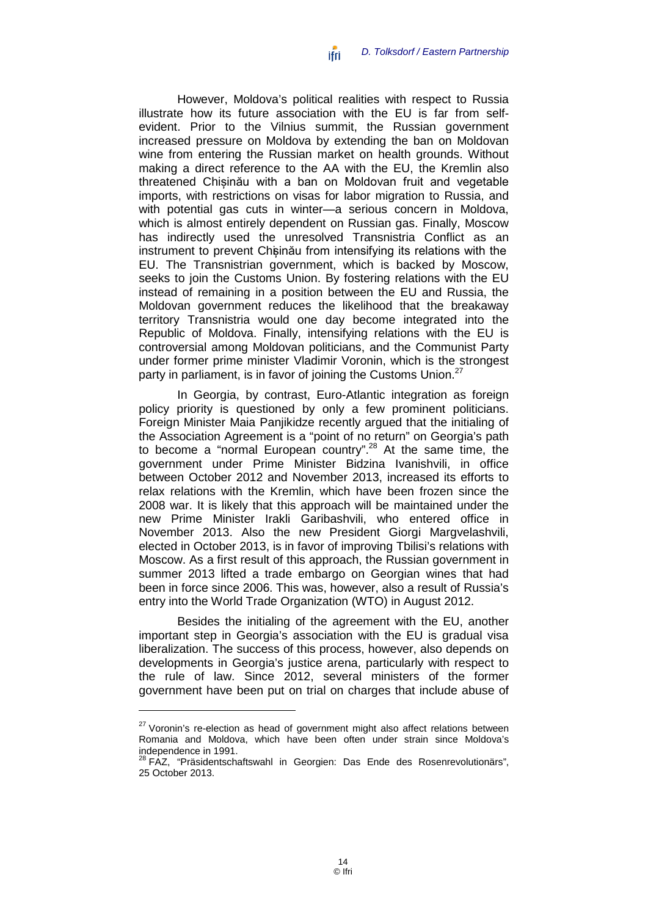*D. Tolksdorf / Eastern Partnership* ifri

However, Moldova's political realities with respect to Russia illustrate how its future association with the EU is far from selfevident. Prior to the Vilnius summit, the Russian government increased pressure on Moldova by extending the ban on Moldovan wine from entering the Russian market on health grounds. Without making a direct reference to the AA with the EU, the Kremlin also threatened Chișinău with a ban on Moldovan fruit and vegetable imports, with restrictions on visas for labor migration to Russia, and with potential gas cuts in winter—a serious concern in Moldova, which is almost entirely dependent on Russian gas. Finally, Moscow has indirectly used the unresolved Transnistria Conflict as an instrument to prevent Chisinău from intensifying its relations with the EU. The Transnistrian government, which is backed by Moscow, seeks to join the Customs Union. By fostering relations with the EU instead of remaining in a position between the EU and Russia, the Moldovan government reduces the likelihood that the breakaway territory Transnistria would one day become integrated into the Republic of Moldova. Finally, intensifying relations with the EU is controversial among Moldovan politicians, and the Communist Party under former prime minister Vladimir Voronin, which is the strongest party in parliament, is in favor of joining the Customs Union.<sup>27</sup>

In Georgia, by contrast, Euro-Atlantic integration as foreign policy priority is questioned by only a few prominent politicians. Foreign Minister Maia Panjikidze recently argued that the initialing of the Association Agreement is a "point of no return" on Georgia's path to become a "normal European country". <sup>28</sup> At the same time, the government under Prime Minister Bidzina Ivanishvili, in office between October 2012 and November 2013, increased its efforts to relax relations with the Kremlin, which have been frozen since the 2008 war. It is likely that this approach will be maintained under the new Prime Minister Irakli Garibashvili, who entered office in November 2013. Also the new President Giorgi Margvelashvili, elected in October 2013, is in favor of improving Tbilisi's relations with Moscow. As a first result of this approach, the Russian government in summer 2013 lifted a trade embargo on Georgian wines that had been in force since 2006. This was, however, also a result of Russia's entry into the World Trade Organization (WTO) in August 2012.

Besides the initialing of the agreement with the EU, another important step in Georgia's association with the EU is gradual visa liberalization. The success of this process, however, also depends on developments in Georgia's justice arena, particularly with respect to the rule of law. Since 2012, several ministers of the former government have been put on trial on charges that include abuse of

 $27$  Voronin's re-election as head of government might also affect relations between Romania and Moldova, which have been often under strain since Moldova's independence in 1991.

<sup>&</sup>lt;sup>28</sup> FAZ, "Präsidentschaftswahl in Georgien: Das Ende des Rosenrevolutionärs", 25 October 2013.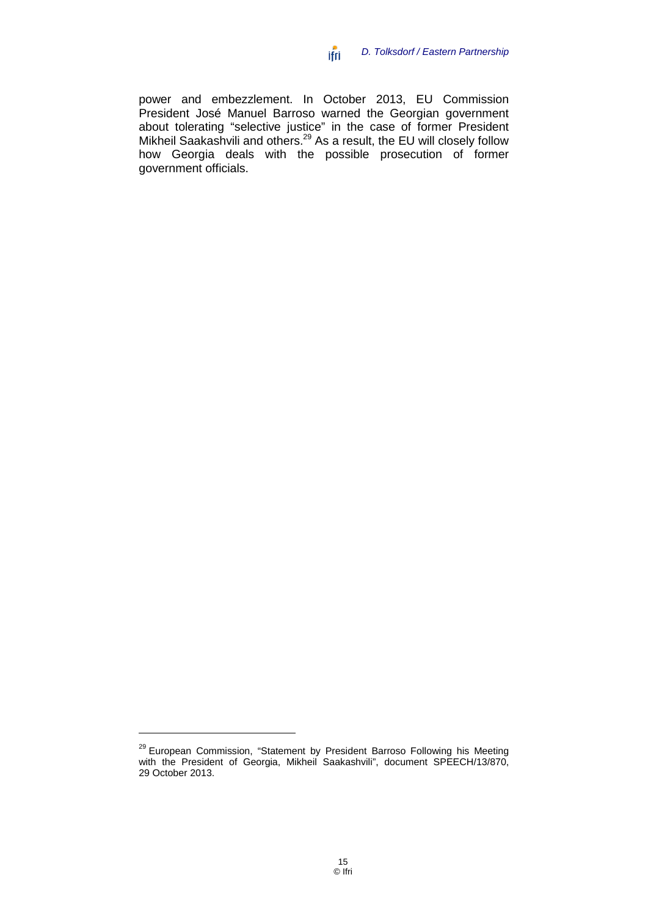power and embezzlement. In October 2013, EU Commission President José Manuel Barroso warned the Georgian government about tolerating "selective justice" in the case of former President Mikheil Saakashvili and others.<sup>29</sup> As a result, the EU will closely follow how Georgia deals with the possible prosecution of former government officials.

ifri

<sup>&</sup>lt;sup>29</sup> European Commission, "Statement by President Barroso Following his Meeting with the President of Georgia, Mikheil Saakashvili", document SPEECH/13/870, 29 October 2013.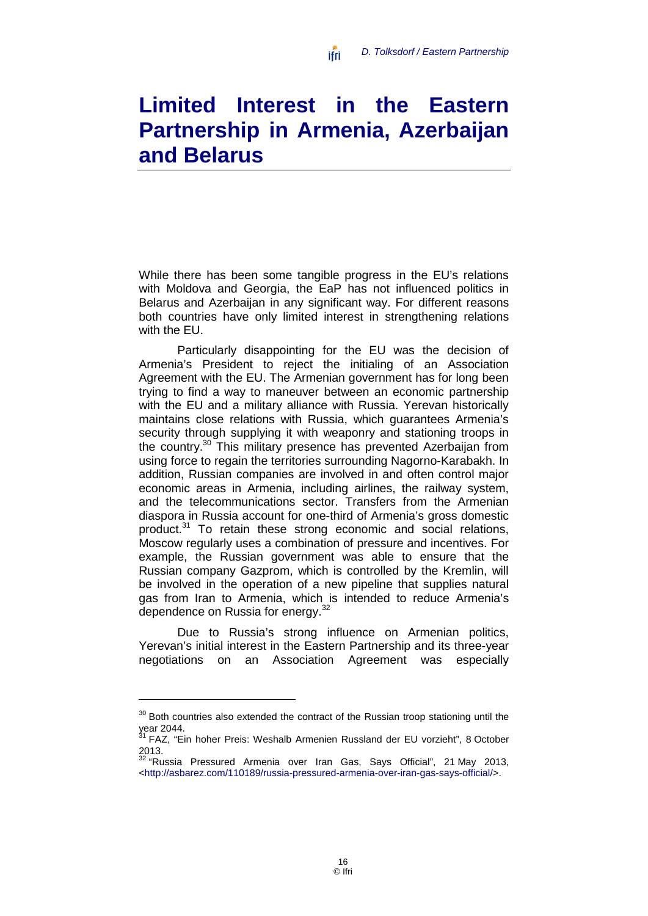# <span id="page-17-0"></span>**Limited Interest in the Eastern Partnership in Armenia, Azerbaijan and Belarus**

ifri

While there has been some tangible progress in the EU's relations with Moldova and Georgia, the EaP has not influenced politics in Belarus and Azerbaijan in any significant way. For different reasons both countries have only limited interest in strengthening relations with the EU.

Particularly disappointing for the EU was the decision of Armenia's President to reject the initialing of an Association Agreement with the EU. The Armenian government has for long been trying to find a way to maneuver between an economic partnership with the EU and a military alliance with Russia. Yerevan historically maintains close relations with Russia, which guarantees Armenia's security through supplying it with weaponry and stationing troops in the country.30 This military presence has prevented Azerbaijan from using force to regain the territories surrounding Nagorno-Karabakh. In addition, Russian companies are involved in and often control major economic areas in Armenia, including airlines, the railway system, and the telecommunications sector. Transfers from the Armenian diaspora in Russia account for one-third of Armenia's gross domestic product.31 To retain these strong economic and social relations, Moscow regularly uses a combination of pressure and incentives. For example, the Russian government was able to ensure that the Russian company Gazprom, which is controlled by the Kremlin, will be involved in the operation of a new pipeline that supplies natural gas from Iran to Armenia, which is intended to reduce Armenia's dependence on Russia for energy.<sup>32</sup>

Due to Russia's strong influence on Armenian politics, Yerevan's initial interest in the Eastern Partnership and its three-year negotiations on an Association Agreement was especially

 $30$  Both countries also extended the contract of the Russian troop stationing until the year 2044.

<sup>&</sup>lt;sup>31</sup> FAZ, "Ein hoher Preis: Weshalb Armenien Russland der EU vorzieht", 8 October 2013.

 $32$  "Russia Pressured Armenia over Iran Gas, Says Official", 21 May 2013, [<http://asbarez.com/110189/russia-pressured-armenia-over-iran-gas-says-official/>](http://asbarez.com/110189/russia-pressured-armenia-over-iran-gas-says-official/).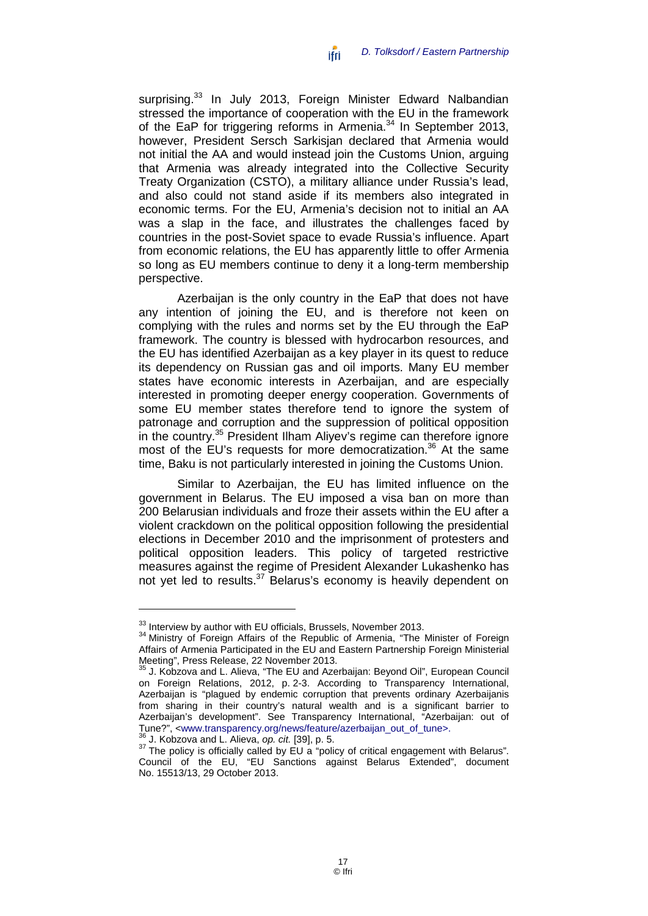surprising.<sup>33</sup> In July 2013, Foreign Minister Edward Nalbandian stressed the importance of cooperation with the EU in the framework of the EaP for triggering reforms in Armenia.<sup>34</sup> In September 2013, however, President Sersch Sarkisjan declared that Armenia would not initial the AA and would instead join the Customs Union, arguing that Armenia was already integrated into the Collective Security Treaty Organization (CSTO), a military alliance under Russia's lead, and also could not stand aside if its members also integrated in economic terms. For the EU, Armenia's decision not to initial an AA was a slap in the face, and illustrates the challenges faced by countries in the post-Soviet space to evade Russia's influence. Apart from economic relations, the EU has apparently little to offer Armenia so long as EU members continue to deny it a long-term membership perspective.

Azerbaijan is the only country in the EaP that does not have any intention of joining the EU, and is therefore not keen on complying with the rules and norms set by the EU through the EaP framework. The country is blessed with hydrocarbon resources, and the EU has identified Azerbaijan as a key player in its quest to reduce its dependency on Russian gas and oil imports. Many EU member states have economic interests in Azerbaijan, and are especially interested in promoting deeper energy cooperation. Governments of some EU member states therefore tend to ignore the system of patronage and corruption and the suppression of political opposition in the country.<sup>35</sup> President Ilham Alivey's regime can therefore ignore most of the EU's requests for more democratization.<sup>36</sup> At the same time, Baku is not particularly interested in joining the Customs Union.

Similar to Azerbaijan, the EU has limited influence on the government in Belarus. The EU imposed a visa ban on more than 200 Belarusian individuals and froze their assets within the EU after a violent crackdown on the political opposition following the presidential elections in December 2010 and the imprisonment of protesters and political opposition leaders. This policy of targeted restrictive measures against the regime of President Alexander Lukashenko has not yet led to results.<sup>37</sup> Belarus's economy is heavily dependent on

 $33$  Interview by author with EU officials, Brussels, November 2013.<br> $34$  Ministry of Foreign Affairs of the Republic of Armenia, "The Minister of Foreign Affairs of Armenia Participated in the EU and Eastern Partnership Foreign Ministerial

 $35$  J. Kobzova and L. Alieva, "The EU and Azerbaijan: Beyond Oil", European Council on Foreign Relations, 2012, p. 2-3. According to Transparency International, Azerbaijan is "plagued by endemic corruption that prevents ordinary Azerbaijanis from sharing in their country's natural wealth and is a significant barrier to Azerbaijan's development". See Transparency International, "Azerbaijan: out of Tune?", <www.transparency.org/news/feature/azerbaijan\_out\_of\_tune>. Tune?", [<www.transparency.org/news/feature/azerbaijan\\_out\\_of\\_tune>](http://www.transparency.org/news/feature/azerbaijan_out_of_tune).<br><sup>36</sup> J. Kobzova and L. Alieva, *op. cit.* [39], p. 5.<br><sup>37</sup> The policy is officially called by EU a "policy of critical engagement with Belarus".

Council of the EU, "EU Sanctions against Belarus Extended", document No. 15513/13, 29 October 2013.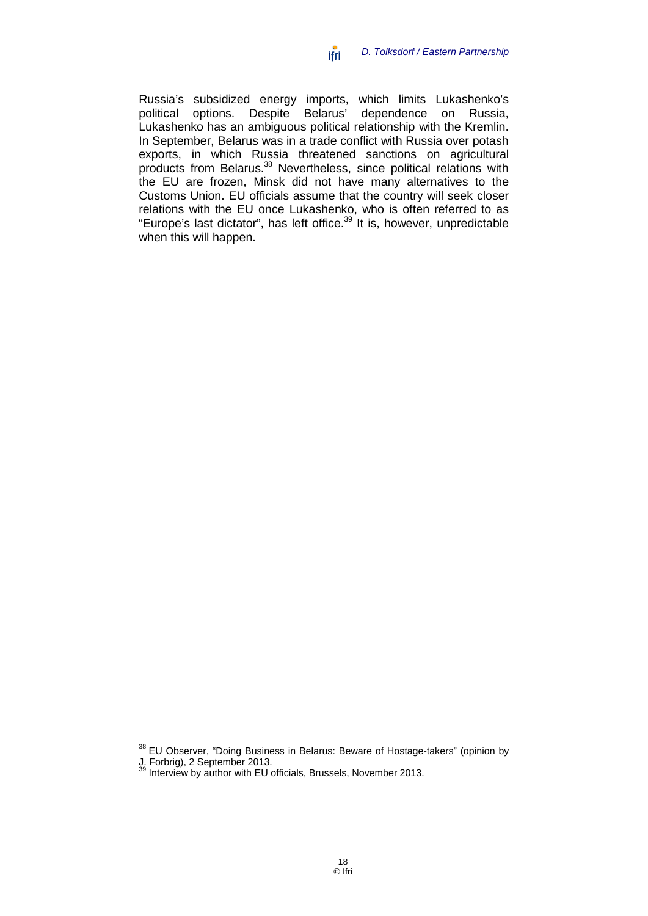Russia's subsidized energy imports, which limits Lukashenko's political options. Despite Belarus' dependence on Russia, Lukashenko has an ambiguous political relationship with the Kremlin. In September, Belarus was in a trade conflict with Russia over potash exports, in which Russia threatened sanctions on agricultural products from Belarus.<sup>38</sup> Nevertheless, since political relations with the EU are frozen, Minsk did not have many alternatives to the Customs Union. EU officials assume that the country will seek closer relations with the EU once Lukashenko, who is often referred to as "Europe's last dictator", has left office.<sup>39</sup> It is, however, unpredictable when this will happen.

<sup>&</sup>lt;sup>38</sup> EU Observer, "Doing Business in Belarus: Beware of Hostage-takers" (opinion by

J. Forbrig), 2 September 2013.<br><sup>39</sup> Interview by author with EU officials, Brussels, November 2013.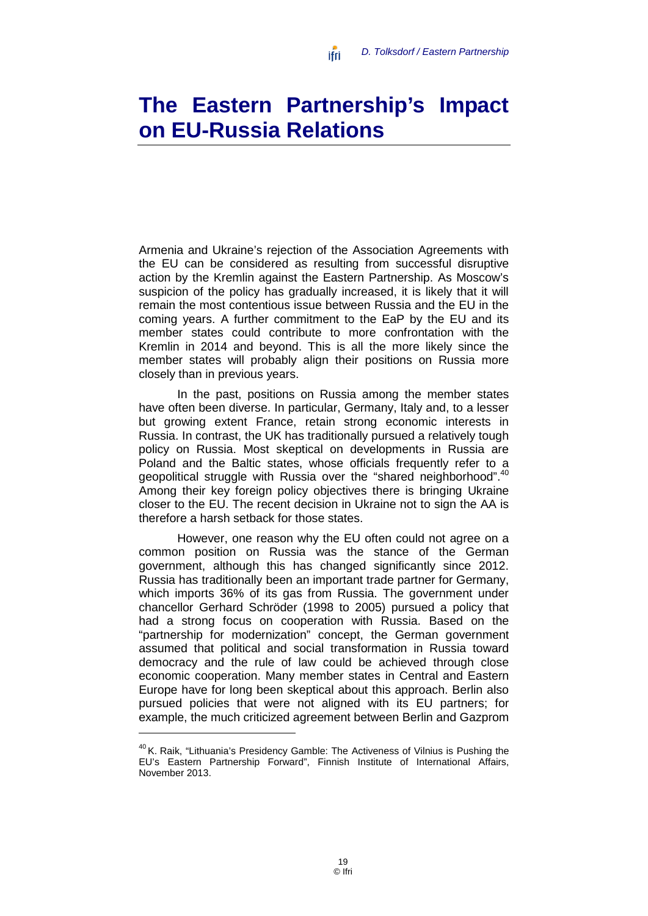# <span id="page-20-0"></span>**The Eastern Partnership's Impact on EU-Russia Relations**

ifri

Armenia and Ukraine's rejection of the Association Agreements with the EU can be considered as resulting from successful disruptive action by the Kremlin against the Eastern Partnership. As Moscow's suspicion of the policy has gradually increased, it is likely that it will remain the most contentious issue between Russia and the EU in the coming years. A further commitment to the EaP by the EU and its member states could contribute to more confrontation with the Kremlin in 2014 and beyond. This is all the more likely since the member states will probably align their positions on Russia more closely than in previous years.

In the past, positions on Russia among the member states have often been diverse. In particular, Germany, Italy and, to a lesser but growing extent France, retain strong economic interests in Russia. In contrast, the UK has traditionally pursued a relatively tough policy on Russia. Most skeptical on developments in Russia are Poland and the Baltic states, whose officials frequently refer to a geopolitical struggle with Russia over the "shared neighborhood".<sup>40</sup> Among their key foreign policy objectives there is bringing Ukraine closer to the EU. The recent decision in Ukraine not to sign the AA is therefore a harsh setback for those states.

However, one reason why the EU often could not agree on a common position on Russia was the stance of the German government, although this has changed significantly since 2012. Russia has traditionally been an important trade partner for Germany, which imports 36% of its gas from Russia. The government under chancellor Gerhard Schröder (1998 to 2005) pursued a policy that had a strong focus on cooperation with Russia. Based on the "partnership for modernization" concept, the German government assumed that political and social transformation in Russia toward democracy and the rule of law could be achieved through close economic cooperation. Many member states in Central and Eastern Europe have for long been skeptical about this approach. Berlin also pursued policies that were not aligned with its EU partners; for example, the much criticized agreement between Berlin and Gazprom

<sup>&</sup>lt;sup>40</sup> K. Raik, "Lithuania's Presidency Gamble: The Activeness of Vilnius is Pushing the EU's Eastern Partnership Forward", Finnish Institute of International Affairs, November 2013.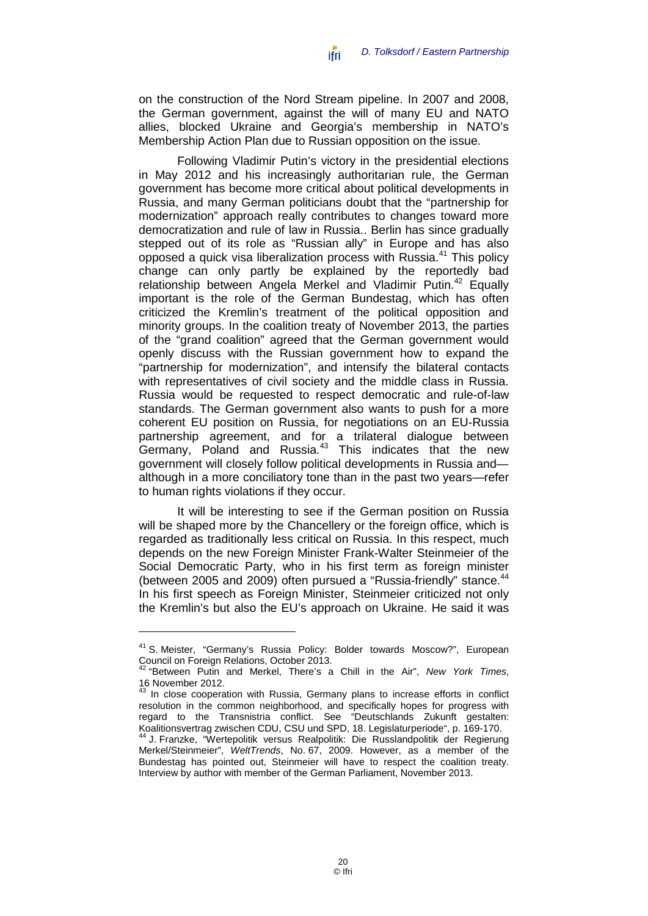on the construction of the Nord Stream pipeline. In 2007 and 2008, the German government, against the will of many EU and NATO allies, blocked Ukraine and Georgia's membership in NATO's Membership Action Plan due to Russian opposition on the issue.

Following Vladimir Putin's victory in the presidential elections in May 2012 and his increasingly authoritarian rule, the German government has become more critical about political developments in Russia, and many German politicians doubt that the "partnership for modernization" approach really contributes to changes toward more democratization and rule of law in Russia.. Berlin has since gradually stepped out of its role as "Russian ally" in Europe and has also opposed a quick visa liberalization process with Russia.<sup>41</sup> This policy change can only partly be explained by the reportedly bad relationship between Angela Merkel and Vladimir Putin.<sup>42</sup> Equally important is the role of the German Bundestag, which has often criticized the Kremlin's treatment of the political opposition and minority groups. In the coalition treaty of November 2013, the parties of the "grand coalition" agreed that the German government would openly discuss with the Russian government how to expand the "partnership for modernization", and intensify the bilateral contacts with representatives of civil society and the middle class in Russia. Russia would be requested to respect democratic and rule-of-law standards. The German government also wants to push for a more coherent EU position on Russia, for negotiations on an EU-Russia partnership agreement, and for a trilateral dialogue between Germany, Poland and Russia.<sup>43</sup> This indicates that the new government will closely follow political developments in Russia and although in a more conciliatory tone than in the past two years—refer to human rights violations if they occur.

It will be interesting to see if the German position on Russia will be shaped more by the Chancellery or the foreign office, which is regarded as traditionally less critical on Russia. In this respect, much depends on the new Foreign Minister Frank-Walter Steinmeier of the Social Democratic Party, who in his first term as foreign minister (between 2005 and 2009) often pursued a "Russia-friendly" stance.<sup>44</sup> In his first speech as Foreign Minister, Steinmeier criticized not only the Kremlin's but also the EU's approach on Ukraine. He said it was

<sup>41</sup> S. Meister, "Germany's Russia Policy: Bolder towards Moscow?", European Council on Foreign Relations, October 2013.

<sup>&</sup>lt;sup>42</sup> "Between Putin and Merkel, There's a Chill in the Air", *New York Times*, 16 November 2012.

In close cooperation with Russia, Germany plans to increase efforts in conflict resolution in the common neighborhood, and specifically hopes for progress with regard to the Transnistria conflict. See "Deutschlands Zukunft gestalten: Koalitionsvertrag zwischen CDU, CSU und SPD, 18. Legislaturperiode", p. 169-170.<br><sup>44</sup> J. Franzke, "Wertepolitik versus Realpolitik: Die Russlandpolitik der Regierung

Merkel/Steinmeier", *WeltTrends*, No. 67, 2009. However, as a member of the Bundestag has pointed out, Steinmeier will have to respect the coalition treaty. Interview by author with member of the German Parliament, November 2013.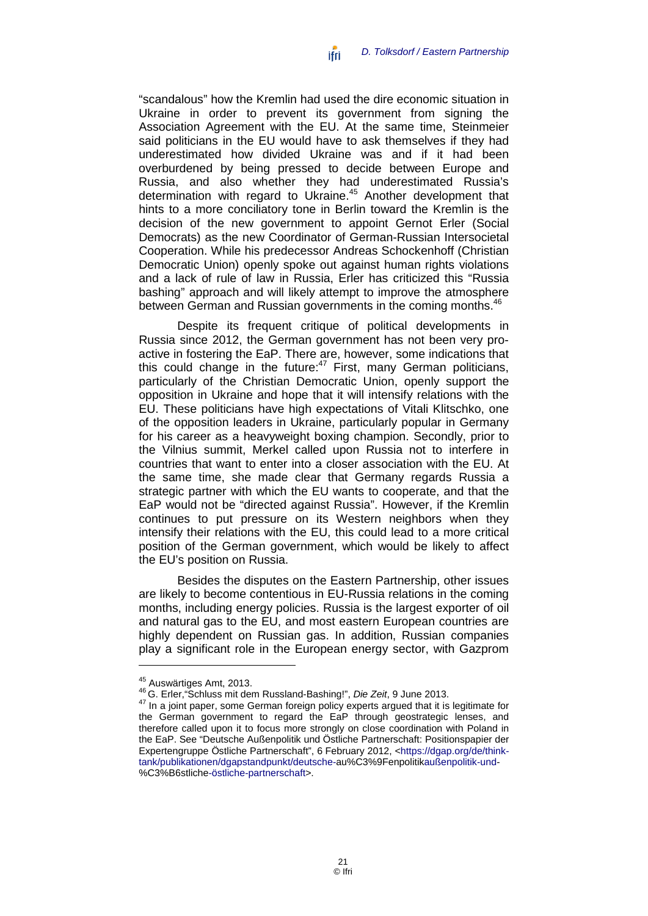"scandalous" how the Kremlin had used the dire economic situation in Ukraine in order to prevent its government from signing the Association Agreement with the EU. At the same time, Steinmeier said politicians in the EU would have to ask themselves if they had underestimated how divided Ukraine was and if it had been overburdened by being pressed to decide between Europe and Russia, and also whether they had underestimated Russia's determination with regard to Ukraine. <sup>45</sup> Another development that hints to a more conciliatory tone in Berlin toward the Kremlin is the decision of the new government to appoint Gernot Erler (Social Democrats) as the new Coordinator of German-Russian Intersocietal Cooperation. While his predecessor Andreas Schockenhoff (Christian Democratic Union) openly spoke out against human rights violations and a lack of rule of law in Russia, Erler has criticized this "Russia bashing" approach and will likely attempt to improve the atmosphere between German and Russian governments in the coming months.<sup>46</sup>

Despite its frequent critique of political developments in Russia since 2012, the German government has not been very proactive in fostering the EaP. There are, however, some indications that this could change in the future:<sup>47</sup> First, many German politicians, particularly of the Christian Democratic Union, openly support the opposition in Ukraine and hope that it will intensify relations with the EU. These politicians have high expectations of Vitali Klitschko, one of the opposition leaders in Ukraine, particularly popular in Germany for his career as a heavyweight boxing champion. Secondly, prior to the Vilnius summit, Merkel called upon Russia not to interfere in countries that want to enter into a closer association with the EU. At the same time, she made clear that Germany regards Russia a strategic partner with which the EU wants to cooperate, and that the EaP would not be "directed against Russia". However, if the Kremlin continues to put pressure on its Western neighbors when they intensify their relations with the EU, this could lead to a more critical position of the German government, which would be likely to affect the EU's position on Russia.

Besides the disputes on the Eastern Partnership, other issues are likely to become contentious in EU-Russia relations in the coming months, including energy policies. Russia is the largest exporter of oil and natural gas to the EU, and most eastern European countries are highly dependent on Russian gas. In addition, Russian companies play a significant role in the European energy sector, with Gazprom

<sup>&</sup>lt;sup>45</sup> Auswärtiges Amt, 2013.<br><sup>46</sup> G. Erler,"Schluss mit dem Russland-Bashing!", *Die Zeit*, 9 June 2013.<br><sup>47</sup> In a joint paper, some German foreign policy experts argued that it is legitimate for the German government to regard the EaP through geostrategic lenses, and therefore called upon it to focus more strongly on close coordination with Poland in the EaP. See "Deutsche Außenpolitik und Östliche Partnerschaft: Positionspapier der Expertengruppe Östliche Partnerschaft", 6 February 2012, [<https://dgap.org/de/think](https://dgap.org/de/think-tank/publikationen/dgapstandpunkt/deutsche-au%C3%9Fenpolitikaußenpolitik-und-%C3%B6stliche-östliche-partnerschaft)[tank/publikationen/dgapstandpunkt/deutsche-au%C3%9Fenpolitikaußenpolitik-und-](https://dgap.org/de/think-tank/publikationen/dgapstandpunkt/deutsche-au%C3%9Fenpolitikaußenpolitik-und-%C3%B6stliche-östliche-partnerschaft) [%C3%B6stliche-östliche-partnerschaft>](https://dgap.org/de/think-tank/publikationen/dgapstandpunkt/deutsche-au%C3%9Fenpolitikaußenpolitik-und-%C3%B6stliche-östliche-partnerschaft).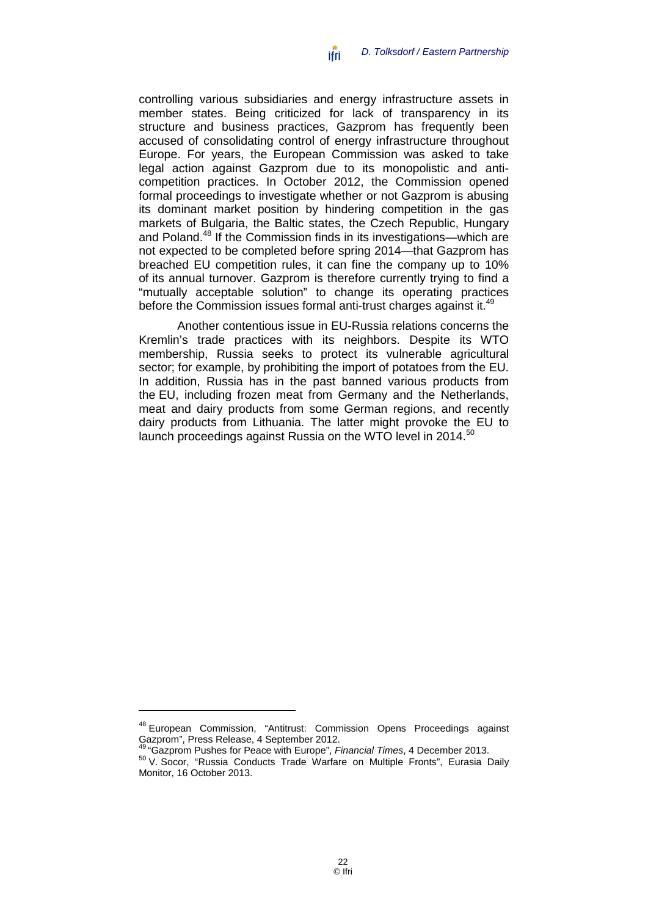controlling various subsidiaries and energy infrastructure assets in member states. Being criticized for lack of transparency in its structure and business practices, Gazprom has frequently been accused of consolidating control of energy infrastructure throughout Europe. For years, the European Commission was asked to take legal action against Gazprom due to its monopolistic and anticompetition practices. In October 2012, the Commission opened formal proceedings to investigate whether or not Gazprom is abusing its dominant market position by hindering competition in the gas markets of Bulgaria, the Baltic states, the Czech Republic, Hungary and Poland.<sup>48</sup> If the Commission finds in its investigations—which are not expected to be completed before spring 2014—that Gazprom has breached EU competition rules, it can fine the company up to 10% of its annual turnover. Gazprom is therefore currently trying to find a "mutually acceptable solution" to change its operating practices before the Commission issues formal anti-trust charges against it.<sup>49</sup>

<span id="page-23-0"></span>Another contentious issue in EU-Russia relations concerns the Kremlin's trade practices with its neighbors. Despite its WTO membership, Russia seeks to protect its vulnerable agricultural sector; for example, by prohibiting the import of potatoes from the EU. In addition, Russia has in the past banned various products from the EU, including frozen meat from Germany and the Netherlands, meat and dairy products from some German regions, and recently dairy products from Lithuania. The latter might provoke the EU to launch proceedings against Russia on the WTO level in 2014.<sup>50</sup>

<sup>&</sup>lt;sup>48</sup> European Commission, "Antitrust: Commission Opens Proceedings against<br>Gazprom", Press Release, 4 September 2012.

<sup>&</sup>lt;sup>49 "</sup>Gazprom Pushes for Peace with Europe", *Financial Times*, 4 December 2013.<br><sup>50</sup> V. Socor, "Russia Conducts Trade Warfare on Multiple Fronts", Eurasia Daily Monitor, 16 October 2013.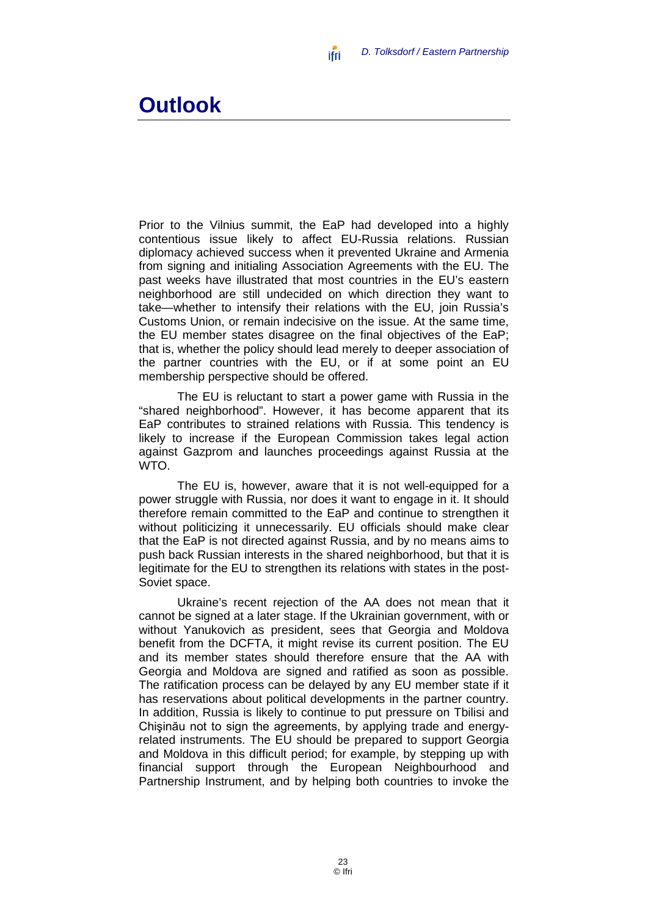### <span id="page-24-0"></span>**Outlook**

Prior to the Vilnius summit, the EaP had developed into a highly contentious issue likely to affect EU-Russia relations. Russian diplomacy achieved success when it prevented Ukraine and Armenia from signing and initialing Association Agreements with the EU. The past weeks have illustrated that most countries in the EU's eastern neighborhood are still undecided on which direction they want to take—whether to intensify their relations with the EU, join Russia's Customs Union, or remain indecisive on the issue. At the same time, the EU member states disagree on the final objectives of the EaP; that is, whether the policy should lead merely to deeper association of the partner countries with the EU, or if at some point an EU membership perspective should be offered.

ifri

The EU is reluctant to start a power game with Russia in the "shared neighborhood". However, it has become apparent that its EaP contributes to strained relations with Russia. This tendency is likely to increase if the European Commission takes legal action against Gazprom and launches proceedings against Russia at the WTO.

The EU is, however, aware that it is not well-equipped for a power struggle with Russia, nor does it want to engage in it. It should therefore remain committed to the EaP and continue to strengthen it without politicizing it unnecessarily. EU officials should make clear that the EaP is not directed against Russia, and by no means aims to push back Russian interests in the shared neighborhood, but that it is legitimate for the EU to strengthen its relations with states in the post-Soviet space.

Ukraine's recent rejection of the AA does not mean that it cannot be signed at a later stage. If the Ukrainian government, with or without Yanukovich as president, sees that Georgia and Moldova benefit from the DCFTA, it might revise its current position. The EU and its member states should therefore ensure that the AA with Georgia and Moldova are signed and ratified as soon as possible. The ratification process can be delayed by any EU member state if it has reservations about political developments in the partner country. In addition, Russia is likely to continue to put pressure on Tbilisi and Chişinău not to sign the agreements, by applying trade and energyrelated instruments. The EU should be prepared to support Georgia and Moldova in this difficult period; for example, by stepping up with financial support through the European Neighbourhood and Partnership Instrument, and by helping both countries to invoke the